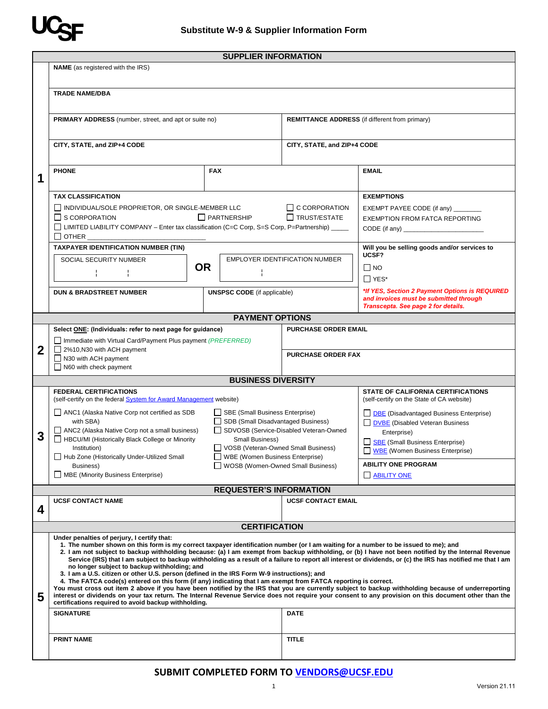

|             | <b>SUPPLIER INFORMATION</b><br><b>NAME</b> (as registered with the IRS)                                                                                                                                                                                                                                                                                                                                                                                                                                     |                                                                              |                                                       |                                                                                          |  |  |  |  |
|-------------|-------------------------------------------------------------------------------------------------------------------------------------------------------------------------------------------------------------------------------------------------------------------------------------------------------------------------------------------------------------------------------------------------------------------------------------------------------------------------------------------------------------|------------------------------------------------------------------------------|-------------------------------------------------------|------------------------------------------------------------------------------------------|--|--|--|--|
|             |                                                                                                                                                                                                                                                                                                                                                                                                                                                                                                             |                                                                              |                                                       |                                                                                          |  |  |  |  |
|             | <b>TRADE NAME/DBA</b>                                                                                                                                                                                                                                                                                                                                                                                                                                                                                       |                                                                              |                                                       |                                                                                          |  |  |  |  |
|             |                                                                                                                                                                                                                                                                                                                                                                                                                                                                                                             |                                                                              |                                                       |                                                                                          |  |  |  |  |
|             | <b>PRIMARY ADDRESS</b> (number, street, and apt or suite no)                                                                                                                                                                                                                                                                                                                                                                                                                                                |                                                                              | <b>REMITTANCE ADDRESS</b> (if different from primary) |                                                                                          |  |  |  |  |
|             | CITY, STATE, and ZIP+4 CODE                                                                                                                                                                                                                                                                                                                                                                                                                                                                                 |                                                                              | CITY, STATE, and ZIP+4 CODE                           |                                                                                          |  |  |  |  |
|             |                                                                                                                                                                                                                                                                                                                                                                                                                                                                                                             |                                                                              |                                                       |                                                                                          |  |  |  |  |
| 1           | <b>PHONE</b>                                                                                                                                                                                                                                                                                                                                                                                                                                                                                                | <b>FAX</b>                                                                   |                                                       | <b>EMAIL</b>                                                                             |  |  |  |  |
|             |                                                                                                                                                                                                                                                                                                                                                                                                                                                                                                             |                                                                              |                                                       |                                                                                          |  |  |  |  |
|             | <b>TAX CLASSIFICATION</b>                                                                                                                                                                                                                                                                                                                                                                                                                                                                                   |                                                                              |                                                       | <b>EXEMPTIONS</b>                                                                        |  |  |  |  |
|             | INDIVIDUAL/SOLE PROPRIETOR, OR SINGLE-MEMBER LLC                                                                                                                                                                                                                                                                                                                                                                                                                                                            |                                                                              | $\Box$ C CORPORATION                                  | EXEMPT PAYEE CODE (if any) _______                                                       |  |  |  |  |
|             | $\Box$ S CORPORATION                                                                                                                                                                                                                                                                                                                                                                                                                                                                                        | $\Box$ PARTNERSHIP                                                           |                                                       | <b>EXEMPTION FROM FATCA REPORTING</b>                                                    |  |  |  |  |
|             | □ LIMITED LIABILITY COMPANY - Enter tax classification (C=C Corp, S=S Corp, P=Partnership) _____                                                                                                                                                                                                                                                                                                                                                                                                            |                                                                              |                                                       |                                                                                          |  |  |  |  |
|             | $\Box$ other                                                                                                                                                                                                                                                                                                                                                                                                                                                                                                |                                                                              |                                                       |                                                                                          |  |  |  |  |
|             | <b>TAXPAYER IDENTIFICATION NUMBER (TIN)</b>                                                                                                                                                                                                                                                                                                                                                                                                                                                                 |                                                                              |                                                       | Will you be selling goods and/or services to<br>UCSF?                                    |  |  |  |  |
|             | SOCIAL SECURITY NUMBER                                                                                                                                                                                                                                                                                                                                                                                                                                                                                      |                                                                              | <b>EMPLOYER IDENTIFICATION NUMBER</b>                 |                                                                                          |  |  |  |  |
|             |                                                                                                                                                                                                                                                                                                                                                                                                                                                                                                             | <b>OR</b>                                                                    |                                                       | $\Box$ NO                                                                                |  |  |  |  |
|             |                                                                                                                                                                                                                                                                                                                                                                                                                                                                                                             |                                                                              |                                                       | $\Box$ YES*                                                                              |  |  |  |  |
|             | <b>DUN &amp; BRADSTREET NUMBER</b><br><b>UNSPSC CODE</b> (if applicable)                                                                                                                                                                                                                                                                                                                                                                                                                                    |                                                                              |                                                       | *If YES, Section 2 Payment Options is REQUIRED<br>and invoices must be submitted through |  |  |  |  |
|             | Transcepta. See page 2 for details.<br><b>PAYMENT OPTIONS</b>                                                                                                                                                                                                                                                                                                                                                                                                                                               |                                                                              |                                                       |                                                                                          |  |  |  |  |
|             | Select ONE: (Individuals: refer to next page for guidance)                                                                                                                                                                                                                                                                                                                                                                                                                                                  |                                                                              | <b>PURCHASE ORDER EMAIL</b>                           |                                                                                          |  |  |  |  |
|             | $\Box$ Immediate with Virtual Card/Payment Plus payment (PREFERRED)                                                                                                                                                                                                                                                                                                                                                                                                                                         |                                                                              |                                                       |                                                                                          |  |  |  |  |
| $\mathbf 2$ | 2%10, N30 with ACH payment                                                                                                                                                                                                                                                                                                                                                                                                                                                                                  |                                                                              | <b>PURCHASE ORDER FAX</b>                             |                                                                                          |  |  |  |  |
|             | $\Box$ N30 with ACH payment<br>$\Box$ N60 with check payment                                                                                                                                                                                                                                                                                                                                                                                                                                                |                                                                              |                                                       |                                                                                          |  |  |  |  |
|             |                                                                                                                                                                                                                                                                                                                                                                                                                                                                                                             | <b>BUSINESS DIVERSITY</b>                                                    |                                                       |                                                                                          |  |  |  |  |
|             | <b>FEDERAL CERTIFICATIONS</b>                                                                                                                                                                                                                                                                                                                                                                                                                                                                               | STATE OF CALIFORNIA CERTIFICATIONS                                           |                                                       |                                                                                          |  |  |  |  |
|             | (self-certify on the federal <b>System for Award Management</b> website)                                                                                                                                                                                                                                                                                                                                                                                                                                    |                                                                              |                                                       | (self-certify on the State of CA website)                                                |  |  |  |  |
|             | ANC1 (Alaska Native Corp not certified as SDB                                                                                                                                                                                                                                                                                                                                                                                                                                                               | SBE (Small Business Enterprise)                                              |                                                       | <b>DBE</b> (Disadvantaged Business Enterprise)                                           |  |  |  |  |
|             | with SBA)<br>ANC2 (Alaska Native Corp not a small business)                                                                                                                                                                                                                                                                                                                                                                                                                                                 | SDB (Small Disadvantaged Business)<br>SDVOSB (Service-Disabled Veteran-Owned |                                                       | DVBE (Disabled Veteran Business                                                          |  |  |  |  |
| 3           | HBCU/MI (Historically Black College or Minority                                                                                                                                                                                                                                                                                                                                                                                                                                                             | Small Business)                                                              |                                                       | Enterprise)<br>SBE (Small Business Enterprise)                                           |  |  |  |  |
|             | Institution)                                                                                                                                                                                                                                                                                                                                                                                                                                                                                                | VOSB (Veteran-Owned Small Business)                                          |                                                       | WBE (Women Business Enterprise)                                                          |  |  |  |  |
|             | WBE (Women Business Enterprise)<br>Hub Zone (Historically Under-Utilized Small                                                                                                                                                                                                                                                                                                                                                                                                                              |                                                                              |                                                       | <b>ABILITY ONE PROGRAM</b>                                                               |  |  |  |  |
|             | □ MBE (Minority Business Enterprise)                                                                                                                                                                                                                                                                                                                                                                                                                                                                        | WOSB (Women-Owned Small Business)<br>Business)                               |                                                       | <b>BILITY ONE</b>                                                                        |  |  |  |  |
|             | <b>REQUESTER'S INFORMATION</b>                                                                                                                                                                                                                                                                                                                                                                                                                                                                              |                                                                              |                                                       |                                                                                          |  |  |  |  |
|             | <b>UCSF CONTACT NAME</b>                                                                                                                                                                                                                                                                                                                                                                                                                                                                                    |                                                                              | <b>UCSF CONTACT EMAIL</b>                             |                                                                                          |  |  |  |  |
| 4           |                                                                                                                                                                                                                                                                                                                                                                                                                                                                                                             |                                                                              |                                                       |                                                                                          |  |  |  |  |
|             |                                                                                                                                                                                                                                                                                                                                                                                                                                                                                                             | <b>CERTIFICATION</b>                                                         |                                                       |                                                                                          |  |  |  |  |
|             | Under penalties of perjury, I certify that:                                                                                                                                                                                                                                                                                                                                                                                                                                                                 |                                                                              |                                                       |                                                                                          |  |  |  |  |
|             | 1. The number shown on this form is my correct taxpayer identification number (or I am waiting for a number to be issued to me); and<br>2. I am not subject to backup withholding because: (a) I am exempt from backup withholding, or (b) I have not been notified by the Internal Revenue<br>Service (IRS) that I am subject to backup withholding as a result of a failure to report all interest or dividends, or (c) the IRS has notified me that I am<br>no longer subject to backup withholding; and |                                                                              |                                                       |                                                                                          |  |  |  |  |
|             | 3. I am a U.S. citizen or other U.S. person (defined in the IRS Form W-9 instructions); and                                                                                                                                                                                                                                                                                                                                                                                                                 |                                                                              |                                                       |                                                                                          |  |  |  |  |
|             | 4. The FATCA code(s) entered on this form (if any) indicating that I am exempt from FATCA reporting is correct.<br>You must cross out item 2 above if you have been notified by the IRS that you are currently subject to backup withholding because of underreporting                                                                                                                                                                                                                                      |                                                                              |                                                       |                                                                                          |  |  |  |  |
| 5           | interest or dividends on your tax return. The Internal Revenue Service does not require your consent to any provision on this document other than the<br>certifications required to avoid backup withholding.                                                                                                                                                                                                                                                                                               |                                                                              |                                                       |                                                                                          |  |  |  |  |
|             | <b>SIGNATURE</b>                                                                                                                                                                                                                                                                                                                                                                                                                                                                                            |                                                                              | <b>DATE</b>                                           |                                                                                          |  |  |  |  |
|             | <b>PRINT NAME</b>                                                                                                                                                                                                                                                                                                                                                                                                                                                                                           |                                                                              | <b>TITLE</b>                                          |                                                                                          |  |  |  |  |
|             |                                                                                                                                                                                                                                                                                                                                                                                                                                                                                                             |                                                                              |                                                       |                                                                                          |  |  |  |  |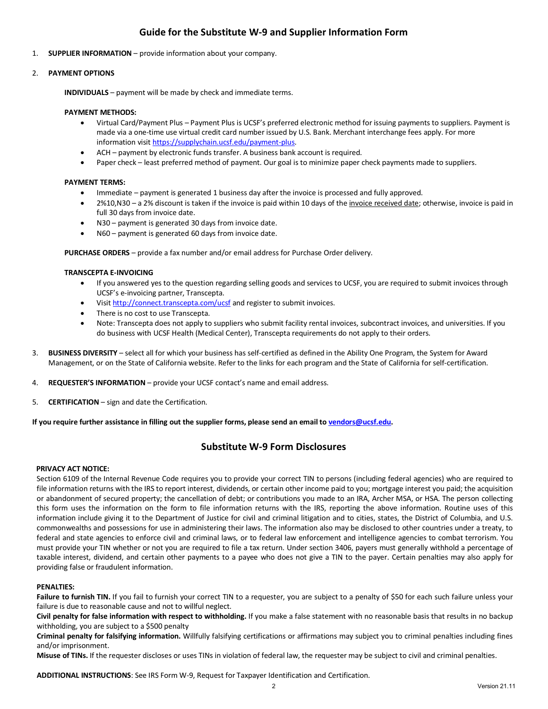# **Guide for the Substitute W-9 and Supplier Information Form**

1. **SUPPLIER INFORMATION** – provide information about your company.

### 2. **PAYMENT OPTIONS**

**INDIVIDUALS** – payment will be made by check and immediate terms.

### **PAYMENT METHODS:**

- Virtual Card/Payment Plus Payment Plus is UCSF's preferred electronic method for issuing payments to suppliers. Payment is made via a one-time use virtual credit card number issued by U.S. Bank. Merchant interchange fees apply. For more information visit [https://supplychain.ucsf.edu/payment-plus.](https://supplychain.ucsf.edu/payment-plus)
- ACH payment by electronic funds transfer. A business bank account is required.
- Paper check least preferred method of payment. Our goal is to minimize paper check payments made to suppliers.

### **PAYMENT TERMS:**

- Immediate payment is generated 1 business day after the invoice is processed and fully approved.
- 2%10,N30 a 2% discount is taken if the invoice is paid within 10 days of the invoice received date; otherwise, invoice is paid in full 30 days from invoice date.
- N30 payment is generated 30 days from invoice date.
- N60 payment is generated 60 days from invoice date.

**PURCHASE ORDERS** – provide a fax number and/or email address for Purchase Order delivery.

#### **TRANSCEPTA E-INVOICING**

- If you answered yes to the question regarding selling goods and services to UCSF, you are required to submit invoices through UCSF's e-invoicing partner, Transcepta.
- Visit<http://connect.transcepta.com/ucsf> and register to submit invoices.
- There is no cost to use Transcepta.
- Note: Transcepta does not apply to suppliers who submit facility rental invoices, subcontract invoices, and universities. If you do business with UCSF Health (Medical Center), Transcepta requirements do not apply to their orders.
- 3. **BUSINESS DIVERSITY** select all for which your business has self-certified as defined in the Ability One Program, the System for Award Management, or on the State of California website. Refer to the links for each program and the State of California for self-certification.
- 4. **REQUESTER'S INFORMATION** provide your UCSF contact's name and email address.
- 5. **CERTIFICATION** sign and date the Certification.

**If you require further assistance in filling out the supplier forms, please send an email t[o vendors@ucsf.edu.](mailto:vendors@ucsf.edu)** 

### **Substitute W-9 Form Disclosures**

### **PRIVACY ACT NOTICE:**

Section 6109 of the Internal Revenue Code requires you to provide your correct TIN to persons (including federal agencies) who are required to file information returns with the IRS to report interest, dividends, or certain other income paid to you; mortgage interest you paid; the acquisition or abandonment of secured property; the cancellation of debt; or contributions you made to an IRA, Archer MSA, or HSA. The person collecting this form uses the information on the form to file information returns with the IRS, reporting the above information. Routine uses of this information include giving it to the Department of Justice for civil and criminal litigation and to cities, states, the District of Columbia, and U.S. commonwealths and possessions for use in administering their laws. The information also may be disclosed to other countries under a treaty, to federal and state agencies to enforce civil and criminal laws, or to federal law enforcement and intelligence agencies to combat terrorism. You must provide your TIN whether or not you are required to file a tax return. Under section 3406, payers must generally withhold a percentage of taxable interest, dividend, and certain other payments to a payee who does not give a TIN to the payer. Certain penalties may also apply for providing false or fraudulent information.

### **PENALTIES:**

Failure to furnish TIN. If you fail to furnish your correct TIN to a requester, you are subject to a penalty of \$50 for each such failure unless your failure is due to reasonable cause and not to willful neglect.

**Civil penalty for false information with respect to withholding.** If you make a false statement with no reasonable basis that results in no backup withholding, you are subject to a \$500 penalty

**Criminal penalty for falsifying information.** Willfully falsifying certifications or affirmations may subject you to criminal penalties including fines and/or imprisonment.

**Misuse of TINs.** If the requester discloses or uses TINs in violation of federal law, the requester may be subject to civil and criminal penalties.

**ADDITIONAL INSTRUCTIONS**: See IRS Form W-9, Request for Taxpayer Identification and Certification.